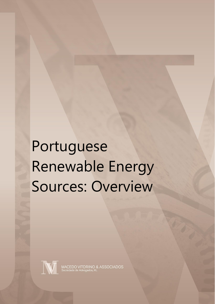# Portuguese Renewable Energy Sources: Overview



MACEDO VITORINO & ASSOCIADOS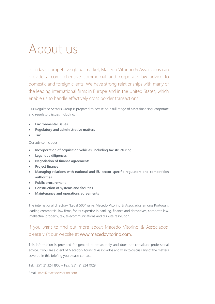### About us

In today's competitive global market, Macedo Vitorino & Associados can provide a comprehensive commercial and corporate law advice to domestic and foreign clients. We have strong relationships with many of the leading international firms in Europe and in the United States, which enable us to handle effectively cross border transactions.

Our Regulated Sectors Group is prepared to advise on a full range of asset financing, corporate and regulatory issues including:

- **Environmental issues**
- **Regulatory and administrative matters**
- **Tax**

Our advice includes:

- **Incorporation of acquisition vehicles, including tax structuring**
- **Legal due diligences**
- **Negotiation of finance agreements**
- **Project finance**
- **Managing relations with national and EU sector specific regulators and competition authorities**
- **Public procurement**
- **Construction of systems and facilities**
- **Maintenance and operations agreements**

The international directory "Legal 500" ranks Macedo Vitorino & Associados among Portugal's leading commercial law firms, for its expertise in banking, finance and derivatives, corporate law, intellectual property, tax, telecommunications and dispute resolution.

#### If you want to find out more about Macedo Vitorino & Associados, please visit our website at www.macedovitorino.com.

This information is provided for general purposes only and does not constitute professional advice. If you are a client of Macedo Vitorino & Associados and wish to discuss any of the matters covered in this briefing you please contact:

Tel.: (351) 21 324 1900 – Fax: (351) 21 324 1929

Email: [mva@macedovitorino.com](mailto:mva@macedovitorino.com)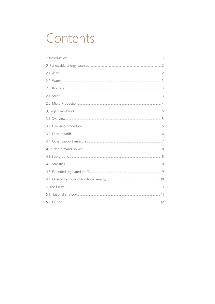# Contents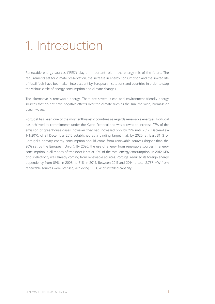### Introduction

Renewable energy sources ("RES") play an important role in the energy mix of the future. The requirements set for climate preservation, the increase in energy consumption and the limited life of fossil fuels have been taken into account by European Institutions and countries in order to stop the vicious circle of energy consumption and climate changes.

The alternative is renewable energy. There are several clean and environment-friendly energy sources that do not have negative effects over the climate such as the sun, the wind, biomass or ocean waves.

Portugal has been one of the most enthusiastic countries as regards renewable energies. Portugal has achieved its commitments under the Kyoto Protocol and was allowed to increase 27% of the emission of greenhouse gases, however they had increased only by 19% until 2012. Decree-Law 141/2010, of 31 December 2010 established as a binding target that, by 2020, at least 31 % of Portugal's primary energy consumption should come from renewable sources (higher than the 20% set by the European Union). By 2020, the use of energy from renewable sources in energy consumption in all modes of transport is set at 10% of the total energy consumption. In 2012 61% of our electricity was already coming from renewable sources. Portugal reduced its foreign energy dependency from 89%, in 2005, to 71% in 2014. Between 2011 and 2014, a total 2.757 MW from renewable sources were licensed, achieving 11.6 GW of installed capacity.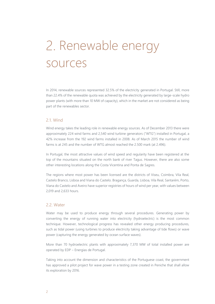# 2. Renewable energy sources

In 2014, renewable sources represented 32.5% of the electricity generated in Portugal. Still, more than 22.4% of the renewable quota was achieved by the electricity generated by large-scale hydro power plants (with more than 10 MW of capacity), which in the market are not considered as being part of the renewables sector.

#### 2.1. Wind

Wind energy takes the leading role in renewable energy sources. As of December 2013 there were approximately 224 wind farms and 2,540 wind turbine generators ("WTG") installed in Portugal, a 42% increase from the 192 wind farms installed in 2008. As of March 2015 the number of wind farms is at 245 and the number of WTG almost reached the 2.500 mark (at 2.496).

In Portugal, the most attractive values of wind speed and regularity have been registered at the top of the mountains situated on the north bank of river Tagus. However, there are also some other interesting locations along the Costa Vicentina and Ponta de Sagres.

The regions where most power has been licensed are the districts of Viseu, Coimbra, Vila Real, Castelo Branco, Lisboa and Viana do Castelo. Bragança, Guarda, Lisboa, Vila Real, Santarém, Porto, Viana do Castelo and Aveiro have superior registries of hours of wind per year, with values between 2,019 and 2,633 hours.

#### 2.2. Water

Water may be used to produce energy through several procedures. Generating power by converting the energy of running water into electricity (hydroelectric) is the most common technique. However, technological progress has revealed other energy producing procedures, such as tidal power (using turbines to produce electricity taking advantage of tide flows) or wave power (capturing the energy generated by ocean surface waves).

More than 70 hydroelectric plants with approximately 7,370 MW of total installed power are operated by EDP – Energias de Portugal.

Taking into account the dimension and characteristics of the Portuguese coast, the government has approved a pilot project for wave power in a testing zone created in Peniche that shall allow its exploration by 2016.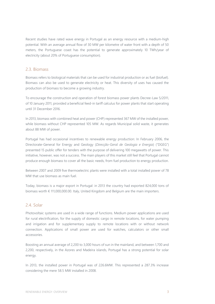Recent studies have rated wave energy in Portugal as an energy resource with a medium-high potential. With an average annual flow of 30 MW per kilometre of water front with a depth of 50 meters, the Portuguese coast has the potential to generate approximately 10 TWh/year of electricity (about 20% of Portuguese consumption).

#### 2.3. Biomass

Biomass refers to biological materials that can be used for industrial production or as fuel (biofuel). Biomass can also be used to generate electricity or heat. This diversity of uses has caused the production of biomass to become a growing industry.

To encourage the construction and operation of forest biomass power plants Decree-Law 5/2011, of 10 January 2011, provided a beneficial feed-in tariff calculus for power plants that start operating until 31 December 2016.

In 2013, biomass with combined heat and power (CHP) represented 367 MW of the installed power, while biomass without CHP represented 105 MW. As regards Municipal solid waste, it generates about 88 MW of power.

Portugal has had occasional incentives to renewable energy production: In February 2006, the Directorate-General for Energy and Geology (*Direcção-Geral de Geologia e Energia*) ("DGEG") presented 15 public offer for tenders with the purpose of delivering 100 megawatts of power. This initiative, however, was not a success. The main players of this market still feel that Portugal cannot produce enough biomass to cover all the basic needs, from fuel production to energy production.

Between 2007 and 2009 five thermoelectric plants were installed with a total installed power of 78 MW that use biomass as main fuel.

Today, biomass is a major export in Portugal: in 2013 the country had exported 824,000 tons of biomass worth € 111,000,000.00. Italy, United Kingdom and Belgium are the main importers.

#### 2.4. Solar

Photovoltaic systems are used in a wide range of functions. Medium power applications are used for rural electrification, for the supply of domestic cargo in remote locations, for water pumping and irrigation and for supplementary supply to remote locations with or without network connection. Applications of small power are used for watches, calculators or other small accessories.

Boosting an annual average of 2,200 to 3,000 hours of sun in the mainland, and between 1,700 and 2,200, respectively, in the Azores and Madeira islands, Portugal has a strong potential for solar energy.

In 2013, the installed power in Portugal was of 226.6MW. This represented a 287.3% increase considering the mere 58.5 MW installed in 2008.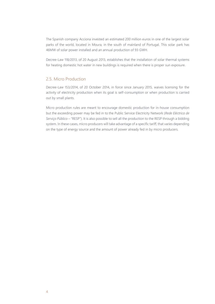The Spanish company Acciona invested an estimated 200 million euros in one of the largest solar parks of the world, located in Moura, in the south of mainland of Portugal. This solar park has 46MW of solar power installed and an annual production of 93 GWH.

Decree-Law 118/2013, of 20 August 2013, establishes that the installation of solar thermal systems for heating domestic hot water in new buildings is required when there is proper sun exposure.

#### 2.5. Micro Production

Decree-Law 153/2014, of 20 October 2014, in force since January 2015, waives licensing for the activity of electricity production when its goal is self-consumption or when production is carried out by small plants.

Micro production rules are meant to encourage domestic production for in-house consumption but the exceeding power may be fed in to the Public Service Electricity Network (*Rede Eléctrica de Serviço Público* – "RESP"). It is also possible to sell all the production to the RESP through a bidding system. In these cases, micro producers will take advantage of a specific tariff, that varies depending on the type of energy source and the amount of power already fed in by micro producers.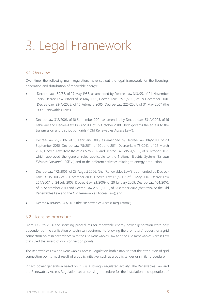# Legal Framework

#### 3.1. Overview

Over time, the following main regulations have set out the legal framework for the licensing, generation and distribution of renewable energy:

- Decree-Law 189/88, of 27 May 1988, as amended by Decree-Law 313/95, of 24 November 1995, Decree-Law 168/99 of 18 May 1999, Decree-Law 339-C/2001, of 29 December 2001, Decree-Law 33-A/2005, of 16 February 2005, Decree-Law 225/2007, of 31 May 2007 (the "Old Renewables Law");
- Decree-Law 312/2001, of 10 September 2001, as amended by Decree-Law 33-A/2005, of 16 February and Decree-Law 118-A/2010, of 25 October 2010 which governs the access to the transmission and distribution grids ("Old Renewables Access Law");
- Decree-Law 29/2006, of 15 February 2006, as amended by Decree-Law 104/2010, of 29 September 2010, Decree-Law 78/2011, of 20 June 2011, Decree-Law 75/2012, of 26 March 2012, Decree-Law 112/2012, of 23 May 2012 and Decree-Law 215-A/2012, of 8 October 2012, which approved the general rules applicable to the National Electric System (*Sistema Eléctrico Nacional* – "SEN") and to the different activities relating to energy production;
- Decree-Law 172/2006, of 23 August 2006, (the "Renewables Law") as amended by Decree-Law 237-B/2006, of 18 December 2006, Decree-Law 199/2007, of 18 May 2007, Decree-Law 264/2007, of 24 July 2007, Decree-Law 23/2009, of 20 January 2009, Decree-Law 104/2010, of 29 September 2010 and Decree-Law 215-B/2012, of 8 October 2012 (that revoked the Old Renewables Law and the Old Renewables Access Law); and
- Decree (*Portaria*) 243/2013 (the "Renewables Access Regulation").

#### 3.2. Licensing procedure

From 1988 to 2006 the licensing procedures for renewable energy power generation were only dependent of the verification of technical requirements following the promoters' request for a grid connection point in accordance with the Old Renewables Law and the Old Renewables Access Law that ruled the award of grid connection points.

The Renewables Law and Renewables Access Regulation both establish that the attribution of grid connection points must result of a public initiative, such as a public tender or similar procedure.

In fact, power generation based on RES is a strongly regulated activity. The Renewables Law and the Renewables Access Regulation set a licensing procedure for the installation and operation of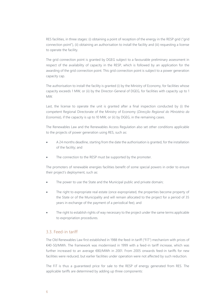RES facilities, in three stages: (i) obtaining a point of reception of the energy in the RESP grid ("grid connection point"), (ii) obtaining an authorisation to install the facility and (iii) requesting a license to operate the facility.

The grid connection point is granted by DGEG subject to a favourable preliminary assessment in respect of the availability of capacity in the RESP, which is followed by an application for the awarding of the grid connection point. This grid connection point is subject to a power generation capacity cap.

The authorisation to install the facility is granted (i) by the Ministry of Economy, for facilities whose capacity exceeds 1 MW, or (ii) by the Director-General of DGEG, for facilities with capacity up to 1 MW.

Last, the license to operate the unit is granted after a final inspection conducted by (i) the competent Regional Directorate of the Ministry of Economy (*Direcção Regional do Ministério da Economia*), if the capacity is up to 10 MW, or (ii) by DGEG, in the remaining cases.

The Renewables Law and the Renewables Access Regulation also set other conditions applicable to the projects of power generation using RES, such as:

- A 24 months deadline, starting from the date the authorisation is granted, for the installation of the facility; and
- The connection to the RESP must be supported by the promoter.

The promoters of renewable energies facilities benefit of some special powers in order to ensure their project's deployment, such as:

- The power to use the State and the Municipal public and private domain;
- The right to expropriate real estate (once expropriated, the properties become property of the State or of the Municipality and will remain allocated to the project for a period of 35 years in exchange of the payment of a periodical fee); and
- The right to establish rights of way necessary to the project under the same terms applicable to expropriation procedures.

#### 3.3. Feed-in tariff

The Old Renewables Law first established in 1988 the feed-in tariff ("FiT") mechanism with prices of €40-50/MWh. The framework was modernised in 1999 with a feed-in tariff increase, which was further increased to an average €80/MWh in 2001. From 2005 onwards feed-in tariffs for new facilities were reduced, but earlier facilities under operation were not affected by such reduction.

The FiT is thus a guaranteed price for sale to the RESP of energy generated from RES. The applicable tariffs are determined by adding up three components: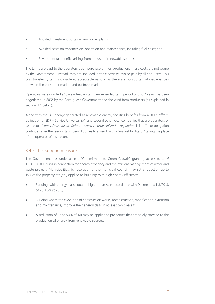- Avoided investment costs on new power plants;
- Avoided costs on transmission, operation and maintenance, including fuel costs; and
- Environmental benefits arising from the use of renewable sources.

The tariffs are paid to the operators upon purchase of their production. These costs are not borne by the Government – instead, they are included in the electricity invoice paid by all end-users. This cost transfer system is considered acceptable as long as there are no substantial discrepancies between the consumer market and business market.

Operators were granted a 15-year feed-in tariff. An extended tariff period of 5 to 7 years has been negotiated in 2012 by the Portuguese Government and the wind farm producers (as explained in section 4.4 below)

Along with the FiT, energy generated at renewable energy facilities benefits from a 100% offtake obligation of EDP - Serviço Universal S.A. and several other local companies that are operators of last resort (*comercializador de último recurso / comercializador regulado*). This offtake obligation continues after the feed-in tariff period comes to an end, with a "market facilitator" taking the place of the operator of last resort.

#### 3.4. Other support measures

The Government has undertaken a "Commitment to Green Growth" granting access to an  $\epsilon$ 1.000.000.000 fund in connection for energy efficiency and the efficient management of water and waste projects. Municipalities, by resolution of the municipal council, may set a reduction up to 15% of the property tax (*IMI*) applied to buildings with high energy efficiency:

- Buildings with energy class equal or higher than A, in accordance with Decree-Law 118/2013, of 20 August 2013;
- Building where the execution of construction works, reconstruction, modification, extension and maintenance, improve their energy class in at least two classes;
- A reduction of up to 50% of IMI may be applied to properties that are solely affected to the production of energy from renewable sources.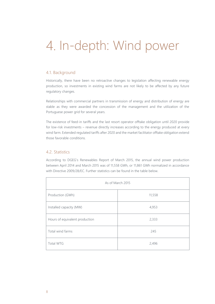# 4. In-depth: Wind power

#### 4.1. Background

Historically, there have been no retroactive changes to legislation affecting renewable energy production, so investments in existing wind farms are not likely to be affected by any future regulatory changes.

Relationships with commercial partners in transmission of energy and distribution of energy are stable as they were awarded the concession of the management and the utilization of the Portuguese power grid for several years.

The existence of feed-in tariffs and the last resort operator offtake obligation until 2020 provide for low-risk investments – revenue directly increases according to the energy produced at every wind farm. Extended regulated tariffs after 2020 and the market facilitator offtake obligation extend those favorable conditions.

#### 4.2. Statistics

According to DGEG's Renewables Report of March 2015, the annual wind power production between April 2014 and March 2015 was of 11,558 GWh, or 11,861 GWh normalized in accordance with Directive 2009/28/EC. Further statistics can be found in the table below.

| As of March 2015               |        |  |  |
|--------------------------------|--------|--|--|
| Production (GWh)               | 11,558 |  |  |
| Installed capacity (MW)        | 4,953  |  |  |
| Hours of equivalent production | 2,333  |  |  |
| Total wind farms               | 245    |  |  |
| <b>Total WTG</b>               | 2,496  |  |  |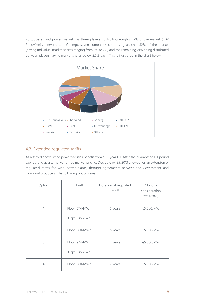Portuguese wind power market has three players controlling roughly 47% of the market (EDP Renováveis, Iberwind and Generg), seven companies comprising another 32% of the market (having individual market shares ranging from 3% to 7%) and the remaining 21% being distributed between players having market shares below 2.5% each. This is illustrated in the chart below.



#### 4.3. Extended regulated tariffs

As referred above, wind power facilities benefit from a 15-year FiT. After the guaranteed FiT period expires, and as alternative to free market pricing, Decree-Law 35/2013 allowed for an extension of regulated tariffs for wind power plants, through agreements between the Government and individual producers. The following options exist:

| Option         | Tariff                         | Duration of regulated<br>tariff | Monthly<br>consideration<br>2013/2020 |
|----------------|--------------------------------|---------------------------------|---------------------------------------|
| 1              | Floor: €74/MWh<br>Cap: €98/MWh | 5 years                         | €5,000/MW                             |
| $\overline{c}$ | Floor: €60/MWh                 | 5 years                         | €5,000/MW                             |
| 3              | Floor: €74/MWh<br>Cap: €98/MWh | 7 years                         | €5,800/MW                             |
| $\overline{4}$ | Floor: €60/MWh                 | 7 years                         | €5,800/MW                             |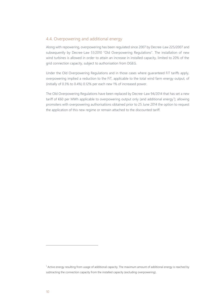#### 4.4. Overpowering and additional energy

Along with repowering, overpowering has been regulated since 2007 by Decree-Law 225/2007 and subsequently by Decree-Law 51/2010 "Old Overpowering Regulations". The installation of new wind turbines is allowed in order to attain an increase in installed capacity, limited to 20% of the grid connection capacity, subject to authorisation from DGEG.

Under the Old Overpowering Regulations and in those cases where guaranteed FiT tariffs apply, overpowering implied a reduction to the FiT, applicable to the total wind farm energy output, of (initially of 0.3% to 0.4%) 0.12% per each new 1% of increased power.

The Old Overpowering Regulations have been replaced by Decree-Law 94/2014 that has set a new tariff of  $€60$  per MWh applicable to overpowering output only (and additional energy<sup>1</sup>); allowing promoters with overpowering authorisations obtained prior to 25 June 2014 the option to request the application of this new regime or remain attached to the discounted tariff.

 $\overline{a}$ 

<sup>1</sup> Active energy resulting from usage of additional capacity. The maximum amount of additional energy is reached by subtracting the connection capacity from the installed capacity (excluding overpowering).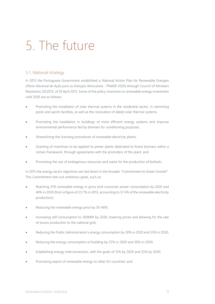# 5. The future

#### 5.1. National strategy

In 2013 the Portuguese Government established a National Action Plan for Renewable Energies (*Plano Nacional de Ação para as Energias Renováveis* - PNAER 2020) through Council of Ministers Resolution 20/2013, of 10 April 2013. Some of the policy incentives to renewable energy investment until 2020 are as follows:

- Promoting the installation of solar thermal systems in the residential sector, in swimming pools and sports facilities, as well as the renovation of dated solar thermal systems;
- Promoting the installation in buildings of more efficient energy systems and improve environmental performance fed by biomass for conditioning purposes;
- Streamlining the licensing procedures of renewable electricity plants;
- Granting of incentives to be applied to power plants dedicated to forest biomass within a certain framework, through agreements with the promoters of the plant; and
- Promoting the use of endogenous resources and waste for the production of biofuels.

In 2015 the energy sector objectives are laid down in the broader "Commitment to Green Growth". This Commitment sets out ambitious goals, such as:

- Reaching 31% renewable energy in gross end-consumer power consumption by 2020 and 40% in 2030 (from a figure of 25.7% in 2013, accounting to 57.4% of the renewable electricity production);
- Reducing the renewable energy price by 30-40%;
- Increasing self-consumption to 300MW by 2020, lowering prices and allowing for the sale of excess production to the national grid;
- Reducing the Public Administration's energy consumption by 30% in 2020 and 35% in 2030;
- Reducing the energy consumption of building by 25% in 2020 and 30% in 2030;
- Establishing energy interconnection, with the goals of 12% by 2020 and 25% by 2030;
- Promoting export of renewable energy to other EU countries; and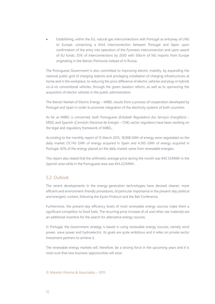Establishing, within the EU, natural gas interconnections with Portugal as entryway of LNG to Europe, comprising a third interconnection between Portugal and Spain upon confirmation of the entry into operation of the Pyrenees interconnection and upon award of EU funds; 25% of interconnections by 2030 with 50bcm of NG imports from Europe originating in the Iberian Peninsula instead of in Russia.

The Portuguese Government is also committed to improving electric mobility, by expanding the national public grid of charging stations and privileging installation of charging infrastructures at home and in the workplace, to reducing the price difference of electric vehicles and plug-in hybrids vis-à-vis conventional vehicles, through the green taxation reform, as well as to sponsoring the acquisition of electric vehicles in the public administration.

The Iberian Market of Electric Energy – MIBEL results from a process of cooperation developed by Portugal and Spain in order to promote integration of the electricity systems of both countries.

As far as MIBEL is concerned, both Portuguese (*Entidade Reguladora dos Serviços Energéticos* - ERSE) and Spanish (*Comisión Nacional de Energía* – CNE) sector regulators have been working on the legal and regulatory framework of MIBEL.

According to the monthly report of 15 March 2015, 18.008 GWh of energy were negotiated on the daily market (13.743 GWh of energy acquired in Spain and 4.265 GWh of energy acquired in Portugal. 62% of the energy placed on the daily market came from renewable energies.

This report also stated that the arithmetic average price during the month was  $\epsilon$ 43.13/MWh in the Spanish area while in the Portuguese area was €43.22/MWh.

#### 5.2. Outlook

The recent developments in the energy-generation technologies have devised cleaner, more efficient and environment-friendly procedures, of particular importance in the present-day political and energetic context, following the Kyoto Protocol and the Bali Conference.

Furthermore, the present-day efficiency levels of most renewable energy sources make them a significant competitor to fossil fuels. The recurring price increase of oil and other raw materials are an additional incentive for the search for alternative energy sources.

In Portugal, the Government strategy is based in using renewable energy sources, namely wind power, wave power and hydroelectric. Its goals are quite ambitious and it relies on private sector investment partners to achieve it.

The renewable energy markets will, therefore, be a striving force in the upcoming years and it is most sure that new business opportunities will arise.

#### © Macedo Vitorino & Associados – 2015